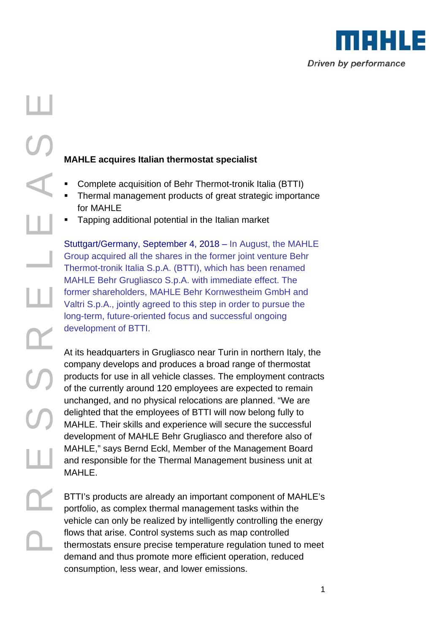

- Complete acquisition of Behr Thermot-tronik Italia (BTTI)
- Thermal management products of great strategic importance for MAHLE
- Tapping additional potential in the Italian market

Stuttgart/Germany, September 4, 2018 – In August, the MAHLE Group acquired all the shares in the former joint venture Behr Thermot-tronik Italia S.p.A. (BTTI), which has been renamed MAHLE Behr Grugliasco S.p.A. with immediate effect. The former shareholders, MAHLE Behr Kornwestheim GmbH and Valtri S.p.A., jointly agreed to this step in order to pursue the long-term, future-oriented focus and successful ongoing development of BTTI.

**MAHLE acquires Italian thermostat specialist**<br> **Complete acquisition of Behr Thermot-tronik i**<br>
Thermal management products of great strate<br>
for MAHLE<br>
Tapping additional potential in the Italian mari<br>
Stuttgart/Germany, At its headquarters in Grugliasco near Turin in northern Italy, the company develops and produces a broad range of thermostat products for use in all vehicle classes. The employment contracts of the currently around 120 employees are expected to remain unchanged, and no physical relocations are planned. "We are delighted that the employees of BTTI will now belong fully to MAHLE. Their skills and experience will secure the successful development of MAHLE Behr Grugliasco and therefore also of MAHLE," says Bernd Eckl, Member of the Management Board and responsible for the Thermal Management business unit at MAHLE.

BTTI's products are already an important component of MAHLE's portfolio, as complex thermal management tasks within the vehicle can only be realized by intelligently controlling the energy flows that arise. Control systems such as map controlled thermostats ensure precise temperature regulation tuned to meet demand and thus promote more efficient operation, reduced consumption, less wear, and lower emissions.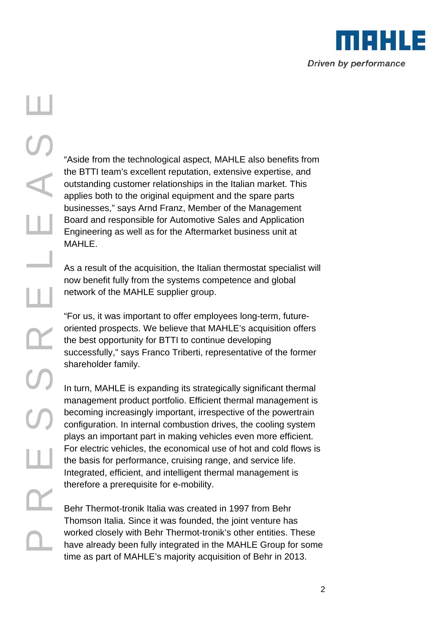

the BTTI team's excellent reputation, extensive expertise, and outstanding customer relationships in the Italian market. This applies both to the original equipment and the spare parts businesses," says Arnd Franz, Member of the Management Board and responsible for Automotive Sales and Application Engineering as well as for the Aftermarket business unit at MAHI F

As a result of the acquisition, the Italian thermostat specialist will now benefit fully from the systems competence and global network of the MAHLE supplier group.

"For us, it was important to offer employees long-term, futureoriented prospects. We believe that MAHLE's acquisition offers the best opportunity for BTTI to continue developing successfully," says Franco Triberti, representative of the former shareholder family.

Frail to the technological aspect, MAHLE also benefits from<br>the BTTI team's excellent reputation, extensive expertise, and<br>outstanding customer relationships in the Italian market. This<br>businesses, "asys Amd Franz, Member In turn, MAHLE is expanding its strategically significant thermal management product portfolio. Efficient thermal management is becoming increasingly important, irrespective of the powertrain configuration. In internal combustion drives, the cooling system plays an important part in making vehicles even more efficient. For electric vehicles, the economical use of hot and cold flows is the basis for performance, cruising range, and service life. Integrated, efficient, and intelligent thermal management is therefore a prerequisite for e-mobility.

Behr Thermot-tronik Italia was created in 1997 from Behr Thomson Italia. Since it was founded, the joint venture has worked closely with Behr Thermot-tronik's other entities. These have already been fully integrated in the MAHLE Group for some time as part of MAHLE's majority acquisition of Behr in 2013.